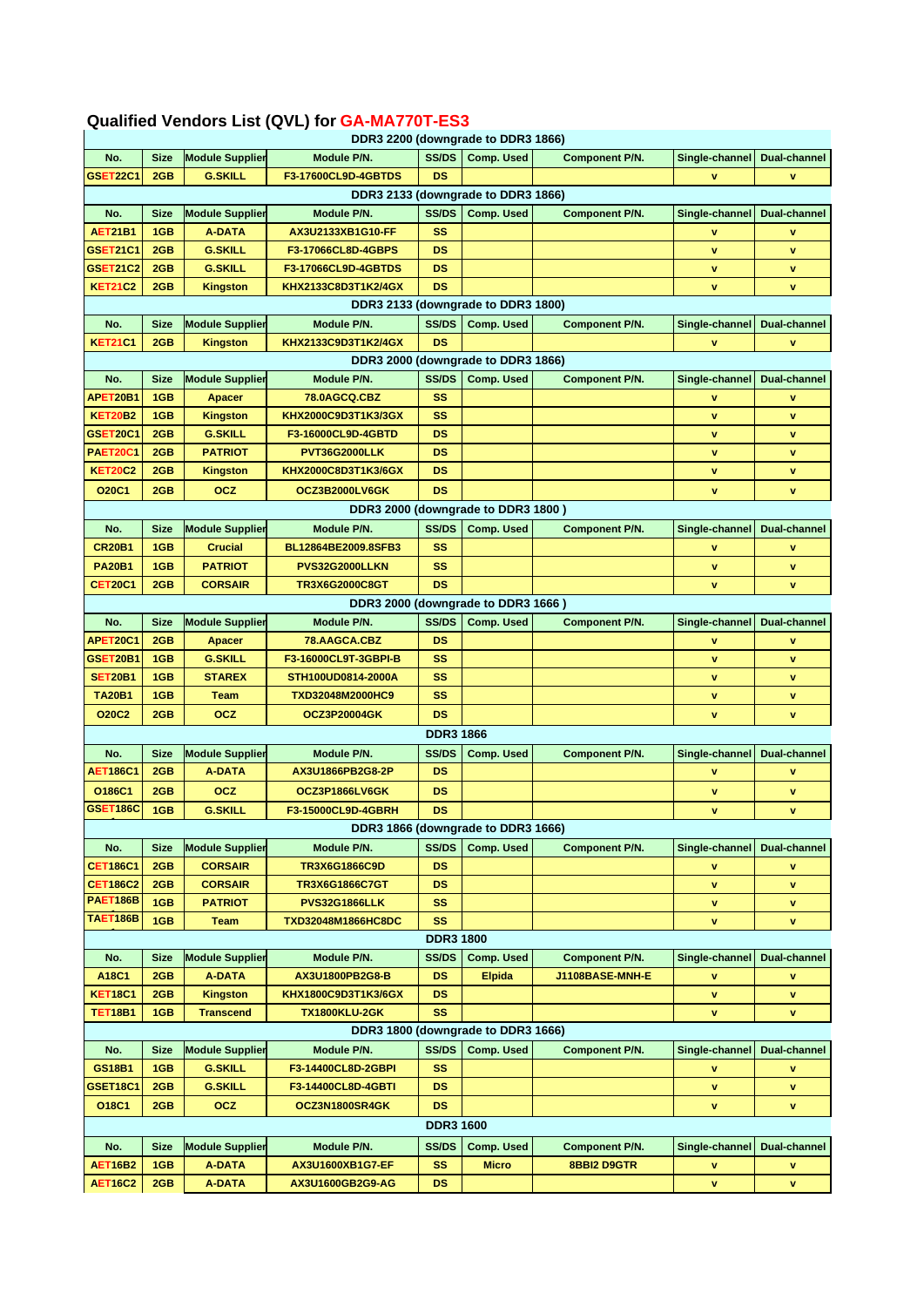## **Qualified Vendors List (QVL) for GA-MA770T-ES3**

| DDR3 2200 (downgrade to DDR3 1866) |             |                        |                       |                  |                                    |                       |                |                     |  |
|------------------------------------|-------------|------------------------|-----------------------|------------------|------------------------------------|-----------------------|----------------|---------------------|--|
| No.                                | <b>Size</b> | <b>Module Supplier</b> | Module P/N.           | <b>SS/DS</b>     | <b>Comp. Used</b>                  | <b>Component P/N.</b> | Single-channel | Dual-channel        |  |
| <b>GSET22C1</b>                    | 2GB         | <b>G.SKILL</b>         | F3-17600CL9D-4GBTDS   | <b>DS</b>        |                                    |                       |                | v                   |  |
|                                    |             |                        |                       |                  | DDR3 2133 (downgrade to DDR3 1866) |                       |                |                     |  |
| No.                                | <b>Size</b> | <b>Module Supplier</b> | Module P/N.           | <b>SS/DS</b>     | <b>Comp. Used</b>                  | Component P/N.        | Single-channel | Dual-channel        |  |
| <b>AET21B1</b>                     | 1GB         | <b>A-DATA</b>          | AX3U2133XB1G10-FF     | SS               |                                    |                       | v              | v                   |  |
| <b>GSET21C1</b>                    | 2GB         | <b>G.SKILL</b>         | F3-17066CL8D-4GBPS    | DS               |                                    |                       | v              | v                   |  |
| GSET21C2                           | 2GB         | <b>G.SKILL</b>         | F3-17066CL9D-4GBTDS   | DS               |                                    |                       | v              | v                   |  |
| <b>KET21C2</b>                     | 2GB         | <b>Kingston</b>        | KHX2133C8D3T1K2/4GX   | <b>DS</b>        |                                    |                       | v              | v                   |  |
|                                    |             |                        |                       |                  | DDR3 2133 (downgrade to DDR3 1800) |                       |                |                     |  |
|                                    |             |                        |                       |                  |                                    |                       |                |                     |  |
| No.                                | <b>Size</b> | <b>Module Supplier</b> | Module P/N.           | <b>SS/DS</b>     | <b>Comp. Used</b>                  | <b>Component P/N.</b> | Single-channel | Dual-channel        |  |
| <b>KET21C1</b>                     | 2GB         | <b>Kingston</b>        | KHX2133C9D3T1K2/4GX   | <b>DS</b>        |                                    |                       | v              | v                   |  |
|                                    |             |                        |                       |                  | DDR3 2000 (downgrade to DDR3 1866) |                       |                |                     |  |
| No.                                | <b>Size</b> | <b>Module Supplier</b> | Module P/N.           | SS/DS            | <b>Comp. Used</b>                  | <b>Component P/N.</b> | Single-channel | Dual-channel        |  |
| APET20B1                           | 1GB         | Apacer                 | 78.0AGCQ.CBZ          | SS               |                                    |                       | v              | v                   |  |
| <b>KET20B2</b>                     | 1GB         | <b>Kingston</b>        | KHX2000C9D3T1K3/3GX   | SS               |                                    |                       | v              | v                   |  |
| <b>GSET20C1</b>                    | 2GB         | <b>G.SKILL</b>         | F3-16000CL9D-4GBTD    | DS               |                                    |                       | v              | v                   |  |
| <b>PAET20C1</b>                    | 2GB         | <b>PATRIOT</b>         | PVT36G2000LLK         | <b>DS</b>        |                                    |                       | v              | v                   |  |
| <b>KET20C2</b>                     | 2GB         | <b>Kingston</b>        | KHX2000C8D3T1K3/6GX   | <b>DS</b>        |                                    |                       | v              | v                   |  |
| <b>O20C1</b>                       | 2GB         | <b>OCZ</b>             | OCZ3B2000LV6GK        | <b>DS</b>        |                                    |                       | v              | v                   |  |
|                                    |             |                        |                       |                  | DDR3 2000 (downgrade to DDR3 1800) |                       |                |                     |  |
|                                    |             |                        |                       | SS/DS            |                                    | <b>Component P/N.</b> |                |                     |  |
| No.                                | <b>Size</b> | <b>Module Supplier</b> | Module P/N.           |                  | <b>Comp. Used</b>                  |                       | Single-channel | Dual-channel        |  |
| <b>CR20B1</b>                      | 1GB         | <b>Crucial</b>         | BL12864BE2009.8SFB3   | SS               |                                    |                       | v              | v                   |  |
| <b>PA20B1</b>                      | 1GB         | <b>PATRIOT</b>         | PVS32G2000LLKN        | SS               |                                    |                       | $\mathbf v$    | v                   |  |
| CET20C1                            | 2GB         | <b>CORSAIR</b>         | <b>TR3X6G2000C8GT</b> | <b>DS</b>        |                                    |                       | v              | v                   |  |
|                                    |             |                        |                       |                  | DDR3 2000 (downgrade to DDR3 1666) |                       |                |                     |  |
| No.                                | <b>Size</b> | <b>Module Supplier</b> | Module P/N.           | SS/DS            | <b>Comp. Used</b>                  | <b>Component P/N.</b> | Single-channel | Dual-channel        |  |
| APET20C1                           | 2GB         | Apacer                 | 78.AAGCA.CBZ          | <b>DS</b>        |                                    |                       | v              | v                   |  |
| GSET20B1                           | 1GB         | <b>G.SKILL</b>         | F3-16000CL9T-3GBPI-B  | SS               |                                    |                       | v              | v                   |  |
| <b>SET20B1</b>                     | 1GB         | <b>STAREX</b>          | STH100UD0814-2000A    | SS               |                                    |                       | v              | v                   |  |
| <b>TA20B1</b>                      | 1GB         | Team                   | TXD32048M2000HC9      | <b>SS</b>        |                                    |                       | $\mathbf v$    | v                   |  |
| <b>O20C2</b>                       | 2GB         | <b>OCZ</b>             | <b>OCZ3P20004GK</b>   | <b>DS</b>        |                                    |                       | v              | v                   |  |
|                                    |             |                        |                       | <b>DDR3 1866</b> |                                    |                       |                |                     |  |
|                                    |             |                        | Module P/N.           | SS/DS            |                                    | <b>Component P/N.</b> |                |                     |  |
| No.                                | <b>Size</b> | <b>Module Supplier</b> |                       |                  | Comp. Used                         |                       | Single-channel | Dual-channel        |  |
| <b>AET186C1</b>                    | 2GB         | <b>A-DATA</b>          | AX3U1866PB2G8-2P      | <b>DS</b>        |                                    |                       | v              | v                   |  |
| O186C1                             | 2GB         | <b>OCZ</b>             | OCZ3P1866LV6GK        | DS               |                                    |                       | v              | v                   |  |
| GSET186C                           | 1GB         | <b>G.SKILL</b>         | F3-15000CL9D-4GBRH    | <b>DS</b>        |                                    |                       | $\mathbf{v}$   | v                   |  |
| DDR3 1866 (downgrade to DDR3 1666) |             |                        |                       |                  |                                    |                       |                |                     |  |
| No.                                | <b>Size</b> | <b>Module Supplier</b> | Module P/N.           | <b>SS/DS</b>     | <b>Comp. Used</b>                  | <b>Component P/N.</b> | Single-channel | Dual-channel        |  |
| <b>CET186C1</b>                    | 2GB         | <b>CORSAIR</b>         | TR3X6G1866C9D         | <b>DS</b>        |                                    |                       | v              | v                   |  |
| <b>CET186C2</b>                    | 2GB         | <b>CORSAIR</b>         | TR3X6G1866C7GT        | DS               |                                    |                       | v              | $\mathbf v$         |  |
| <b>PAET186B</b>                    | 1GB         | <b>PATRIOT</b>         | <b>PVS32G1866LLK</b>  | SS               |                                    |                       | v              | v                   |  |
| TAET186B                           | 1GB         | Team                   | TXD32048M1866HC8DC    | <b>SS</b>        |                                    |                       | v              | v                   |  |
| <b>DDR3 1800</b>                   |             |                        |                       |                  |                                    |                       |                |                     |  |
| No.                                | Size        | <b>Module Supplier</b> | Module P/N.           | SS/DS            | <b>Comp. Used</b>                  | <b>Component P/N.</b> | Single-channel | <b>Dual-channel</b> |  |
| A18C1                              | 2GB         | <b>A-DATA</b>          | AX3U1800PB2G8-B       | <b>DS</b>        | <b>Elpida</b>                      | J1108BASE-MNH-E       | v              | v                   |  |
| <b>KET18C1</b>                     | 2GB         |                        | KHX1800C9D3T1K3/6GX   | DS               |                                    |                       |                |                     |  |
|                                    |             | <b>Kingston</b>        |                       |                  |                                    |                       | v              | v                   |  |
| <b>TET18B1</b>                     | 1GB         | <b>Transcend</b>       | <b>TX1800KLU-2GK</b>  | <b>SS</b>        |                                    |                       | v              | v                   |  |
| DDR3 1800 (downgrade to DDR3 1666) |             |                        |                       |                  |                                    |                       |                |                     |  |
| No.                                | <b>Size</b> | <b>Module Supplier</b> | Module P/N.           | SS/DS            | <b>Comp. Used</b>                  | <b>Component P/N.</b> | Single-channel | Dual-channel        |  |
| GS18B1                             | 1GB         | <b>G.SKILL</b>         | F3-14400CL8D-2GBPI    | <b>SS</b>        |                                    |                       | v              | v                   |  |
| GSET18C1                           | 2GB         | <b>G.SKILL</b>         | F3-14400CL8D-4GBTI    | DS.              |                                    |                       | v              | v                   |  |
| O18C1                              | 2GB         | <b>OCZ</b>             | OCZ3N1800SR4GK        | <b>DS</b>        |                                    |                       | v              | v                   |  |
| <b>DDR3 1600</b>                   |             |                        |                       |                  |                                    |                       |                |                     |  |
| No.                                | <b>Size</b> | <b>Module Supplier</b> | Module P/N.           | SS/DS            | <b>Comp. Used</b>                  | <b>Component P/N.</b> | Single-channel | <b>Dual-channel</b> |  |
| <b>AET16B2</b>                     | 1GB         | <b>A-DATA</b>          | AX3U1600XB1G7-EF      | SS               | <b>Micro</b>                       | 8BBI2 D9GTR           | A.             | v                   |  |
|                                    |             |                        |                       |                  |                                    |                       |                |                     |  |
| <b>AET16C2</b>                     | 2GB         | <b>A-DATA</b>          | AX3U1600GB2G9-AG      | DS.              |                                    |                       | v              | v                   |  |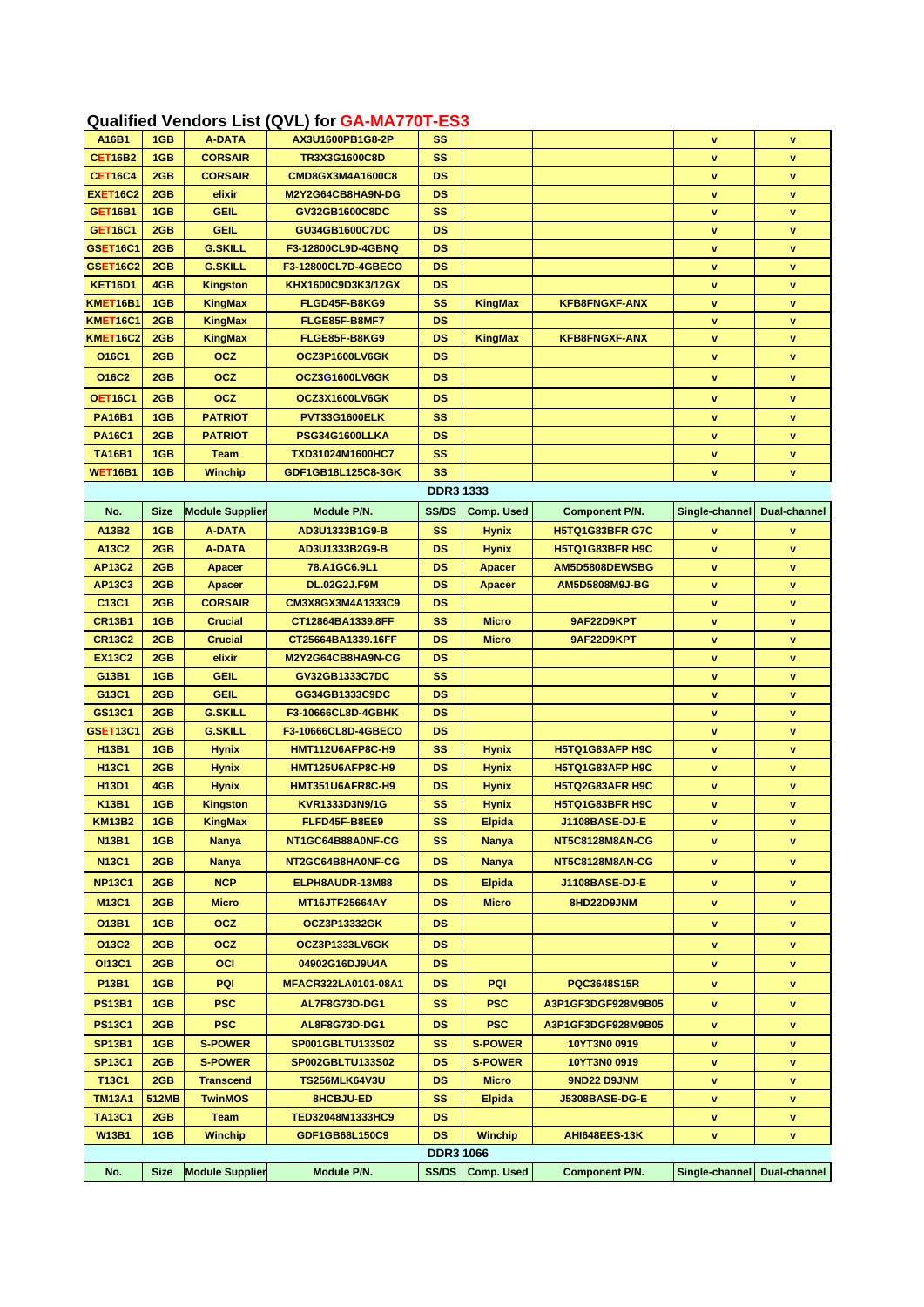## **Qualified Vendors List (QVL) for GA-MA770T-ES3**

| A16B1                | 1GB         | <b>A-DATA</b>          | AX3U1600PB1G8-2P               | SS               |                   |                        | $\mathbf v$    | $\mathbf v$      |
|----------------------|-------------|------------------------|--------------------------------|------------------|-------------------|------------------------|----------------|------------------|
| <b>CET16B2</b>       | 1GB         | <b>CORSAIR</b>         | TR3X3G1600C8D                  | SS               |                   |                        | $\mathbf v$    | v                |
| <b>CET16C4</b>       | 2GB         | <b>CORSAIR</b>         | CMD8GX3M4A1600C8               | <b>DS</b>        |                   |                        | v              | v                |
| <b>EXET16C2</b>      | 2GB         | elixir                 | M2Y2G64CB8HA9N-DG              | DS               |                   |                        | v              | v                |
| <b>GET16B1</b>       | 1GB         | <b>GEIL</b>            | GV32GB1600C8DC                 | SS               |                   |                        | v              | v                |
| <b>GET16C1</b>       | 2GB         | <b>GEIL</b>            | GU34GB1600C7DC                 | <b>DS</b>        |                   |                        | v              | v                |
| <b>GSET16C1</b>      | 2GB         | <b>G.SKILL</b>         | F3-12800CL9D-4GBNQ             | <b>DS</b>        |                   |                        | v              | v                |
| <b>GSET16C2</b>      | 2GB         | <b>G.SKILL</b>         | F3-12800CL7D-4GBECO            | <b>DS</b>        |                   |                        | v              | $\mathbf v$      |
|                      | 4GB         |                        | KHX1600C9D3K3/12GX             | <b>DS</b>        |                   |                        |                |                  |
| <b>KET16D1</b>       |             | <b>Kingston</b>        |                                |                  |                   |                        | v              | v                |
| KMET16B1<br>KMET16C1 | 1GB<br>2GB  | <b>KingMax</b>         | FLGD45F-B8KG9                  | SS<br><b>DS</b>  | KingMax           | <b>KFB8FNGXF-ANX</b>   | v<br>v         | v<br>$\mathbf v$ |
| <b>KMET16C2</b>      |             | <b>KingMax</b>         | FLGE85F-B8MF7<br>FLGE85F-B8KG9 | <b>DS</b>        |                   | <b>KFB8FNGXF-ANX</b>   |                |                  |
|                      | 2GB         | KingMax                |                                |                  | <b>KingMax</b>    |                        | A.             | v                |
| O16C1                | 2GB         | <b>OCZ</b>             | OCZ3P1600LV6GK                 | <b>DS</b>        |                   |                        | v              | v                |
| O16C2                | 2GB         | <b>OCZ</b>             | OCZ3G1600LV6GK                 | <b>DS</b>        |                   |                        | <b>v</b>       | v                |
| <b>OET16C1</b>       | 2GB         | <b>OCZ</b>             | OCZ3X1600LV6GK                 | <b>DS</b>        |                   |                        | v              | v                |
| <b>PA16B1</b>        | 1GB         | <b>PATRIOT</b>         | PVT33G1600ELK                  | SS               |                   |                        | v              | v                |
| <b>PA16C1</b>        | 2GB         | <b>PATRIOT</b>         | PSG34G1600LLKA                 | <b>DS</b>        |                   |                        | v              | v                |
| <b>TA16B1</b>        | 1GB         | Team                   | TXD31024M1600HC7               | SS               |                   |                        | v              | v                |
| <b>WET16B1</b>       | 1GB         | <b>Winchip</b>         | GDF1GB18L125C8-3GK             | <b>SS</b>        |                   |                        | v              | v                |
|                      |             |                        |                                | <b>DDR3 1333</b> |                   |                        |                |                  |
| No.                  | <b>Size</b> | <b>Module Supplier</b> | Module P/N.                    | <b>SS/DS</b>     | <b>Comp. Used</b> | <b>Component P/N.</b>  | Single-channel | Dual-channel     |
| A13B2                | 1GB         | <b>A-DATA</b>          | AD3U1333B1G9-B                 | SS               |                   | H5TQ1G83BFR G7C        | v              |                  |
| A13C2                |             | <b>A-DATA</b>          |                                | <b>DS</b>        | <b>Hynix</b>      | H5TQ1G83BFR H9C        |                | v                |
|                      | 2GB         |                        | AD3U1333B2G9-B                 |                  | <b>Hynix</b>      |                        | v              | $\mathbf v$      |
| <b>AP13C2</b>        | 2GB         | <b>Apacer</b>          | 78.A1GC6.9L1                   | <b>DS</b>        | <b>Apacer</b>     | AM5D5808DEWSBG         | v              | v                |
| <b>AP13C3</b>        | 2GB         | <b>Apacer</b>          | <b>DL.02G2J.F9M</b>            | DS               | <b>Apacer</b>     | AM5D5808M9J-BG         | v              | v                |
| C13C1                | 2GB         | <b>CORSAIR</b>         | CM3X8GX3M4A1333C9              | DS               |                   |                        | v              | v                |
| <b>CR13B1</b>        | 1GB         | <b>Crucial</b>         | CT12864BA1339.8FF              | SS               | <b>Micro</b>      | 9AF22D9KPT             | v              | v                |
| <b>CR13C2</b>        | 2GB         | <b>Crucial</b>         | CT25664BA1339.16FF             | <b>DS</b>        | <b>Micro</b>      | 9AF22D9KPT             | v              | $\mathbf v$      |
| <b>EX13C2</b>        | 2GB         | elixir                 | M2Y2G64CB8HA9N-CG              | DS               |                   |                        | v              | v                |
| G13B1                | 1GB         | <b>GEIL</b>            | GV32GB1333C7DC                 | <b>SS</b>        |                   |                        | v              | v                |
| G13C1                | 2GB         | <b>GEIL</b>            | GG34GB1333C9DC                 | DS               |                   |                        | v              | v                |
| GS13C1               | 2GB         | <b>G.SKILL</b>         | F3-10666CL8D-4GBHK             | DS               |                   |                        | A.             | v                |
| GSET13C1             | 2GB         | <b>G.SKILL</b>         | F3-10666CL8D-4GBECO            | <b>DS</b>        |                   |                        | <b>v</b>       | $\mathbf v$      |
| <b>H13B1</b>         | 1GB         | <b>Hynix</b>           | HMT112U6AFP8C-H9               | SS               | <b>Hynix</b>      | H5TQ1G83AFP H9C        | <b>v</b>       | v                |
| <b>H13C1</b>         | 2GB         | <b>Hynix</b>           | <b>HMT125U6AFP8C-H9</b>        | DS               | <b>Hynix</b>      | H5TQ1G83AFP H9C        | <b>v</b>       | v                |
| H13D1                | 4GB         | <b>Hynix</b>           | <b>HMT351U6AFR8C-H9</b>        | DS               | <b>Hynix</b>      | <b>H5TQ2G83AFR H9C</b> | v              | v                |
| <b>K13B1</b>         | 1GB         | <b>Kingston</b>        | KVR1333D3N9/1G                 | SS               | <b>Hynix</b>      | H5TQ1G83BFR H9C        | v              | v                |
| <b>KM13B2</b>        | 1GB         | KingMax                | FLFD45F-B8EE9                  | SS               | <b>Elpida</b>     | J1108BASE-DJ-E         | v.             | v.               |
| <b>N13B1</b>         | 1GB         | <b>Nanya</b>           | NT1GC64B88A0NF-CG              | SS               | Nanya             | NT5C8128M8AN-CG        | v              | V                |
| <b>N13C1</b>         | 2GB         | <b>Nanya</b>           | NT2GC64B8HA0NF-CG              | <b>DS</b>        | <b>Nanya</b>      | NT5C8128M8AN-CG        | v              | v                |
|                      |             |                        |                                |                  |                   |                        |                |                  |
| <b>NP13C1</b>        | 2GB         | <b>NCP</b>             | ELPH8AUDR-13M88                | DS.              | <b>Elpida</b>     | J1108BASE-DJ-E         | v              | ٧                |
| <b>M13C1</b>         | 2GB         | <b>Micro</b>           | <b>MT16JTF25664AY</b>          | <b>DS</b>        | <b>Micro</b>      | 8HD22D9JNM             | v              | v                |
| 013B1                | 1GB         | <b>OCZ</b>             | <b>OCZ3P13332GK</b>            | DS.              |                   |                        | V              | v                |
| O13C2                | 2GB         | <b>OCZ</b>             | OCZ3P1333LV6GK                 | DS.              |                   |                        | v              | v                |
| <b>OI13C1</b>        | 2GB         | <b>OCI</b>             | 04902G16DJ9U4A                 | DS.              |                   |                        | v              | v                |
| P13B1                | 1GB         | <b>PQI</b>             | MFACR322LA0101-08A1            | DS.              | PQI               | <b>PQC3648S15R</b>     | v              | v                |
| <b>PS13B1</b>        | 1GB         | <b>PSC</b>             | <b>AL7F8G73D-DG1</b>           | SS               | <b>PSC</b>        | A3P1GF3DGF928M9B05     | v              | v                |
|                      |             |                        |                                |                  |                   |                        |                |                  |
| <b>PS13C1</b>        | 2GB         | <b>PSC</b>             | AL8F8G73D-DG1                  | DS.              | <b>PSC</b>        | A3P1GF3DGF928M9B05     | v              | V                |
| <b>SP13B1</b>        | 1GB         | <b>S-POWER</b>         | SP001GBLTU133S02               | SS.              | <b>S-POWER</b>    | 10YT3N0 0919           | v              | V                |
| <b>SP13C1</b>        | 2GB         | <b>S-POWER</b>         | SP002GBLTU133S02               | DS.              | <b>S-POWER</b>    | 10YT3N0 0919           | v              | V                |
| <b>T13C1</b>         | 2GB         | <b>Transcend</b>       | <b>TS256MLK64V3U</b>           | DS.              | <b>Micro</b>      | 9ND22 D9JNM            | v              | V                |
| <b>TM13A1</b>        | 512MB       | <b>TwinMOS</b>         | 8HCBJU-ED                      | SS               | <b>Elpida</b>     | J5308BASE-DG-E         | V              | v                |
| <b>TA13C1</b>        | 2GB         | Team                   | TED32048M1333HC9               | DS.              |                   |                        | v              | v                |
| <b>W13B1</b>         | 1GB         | <b>Winchip</b>         | GDF1GB68L150C9                 | DS.              | <b>Winchip</b>    | AHI648EES-13K          | v              | v                |
|                      |             |                        |                                | <b>DDR3 1066</b> |                   |                        |                |                  |
| No.                  | <b>Size</b> | <b>Module Supplier</b> | Module P/N.                    | SS/DS            | Comp. Used        | <b>Component P/N.</b>  | Single-channel | Dual-channel     |